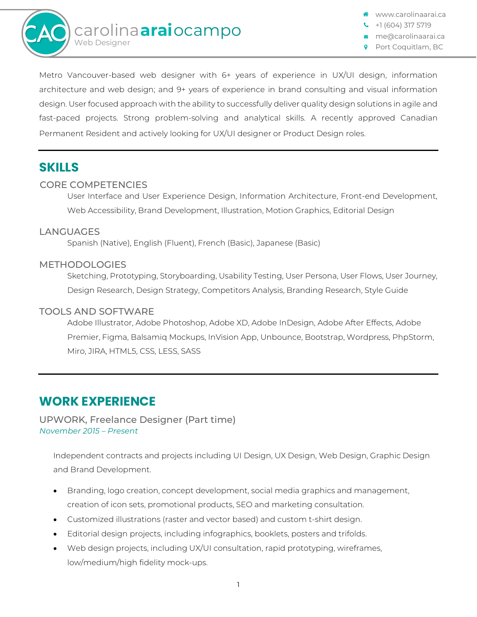

www.carolinaarai.ca

+1 (604) 317 5719

me@carolinaarai.ca Port Coquitlam, BC

Metro Vancouver-based web designer with 6+ years of experience in UX/UI design, information architecture and web design; and 9+ years of experience in brand consulting and visual information design. User focused approach with the ability to successfully deliver quality design solutions in agile and fast-paced projects. Strong problem-solving and analytical skills. A recently approved Canadian Permanent Resident and actively looking for UX/UI designer or Product Design roles.

## **SKILLS**

### CORE COMPETENCIES

User Interface and User Experience Design, Information Architecture, Front-end Development, Web Accessibility, Brand Development, Illustration, Motion Graphics, Editorial Design

#### **LANGUAGES**

Spanish (Native), English (Fluent), French (Basic), Japanese (Basic)

#### METHODOLOGIES

Sketching, Prototyping, Storyboarding, Usability Testing, User Persona, User Flows, User Journey, Design Research, Design Strategy, Competitors Analysis, Branding Research, Style Guide

#### TOOLS AND SOFTWARE

Adobe Illustrator, Adobe Photoshop, Adobe XD, Adobe InDesign, Adobe After Effects, Adobe Premier, Figma, Balsamiq Mockups, InVision App, Unbounce, Bootstrap, Wordpress, PhpStorm, Miro, JIRA, HTML5, CSS, LESS, SASS

# **WORK EXPERIENCE**

UPWORK, Freelance Designer (Part time) *November 2015 – Present*

Independent contracts and projects including UI Design, UX Design, Web Design, Graphic Design and Brand Development.

- Branding, logo creation, concept development, social media graphics and management, creation of icon sets, promotional products, SEO and marketing consultation.
- Customized illustrations (raster and vector based) and custom t-shirt design.
- Editorial design projects, including infographics, booklets, posters and trifolds.
- Web design projects, including UX/UI consultation, rapid prototyping, wireframes, low/medium/high fidelity mock-ups.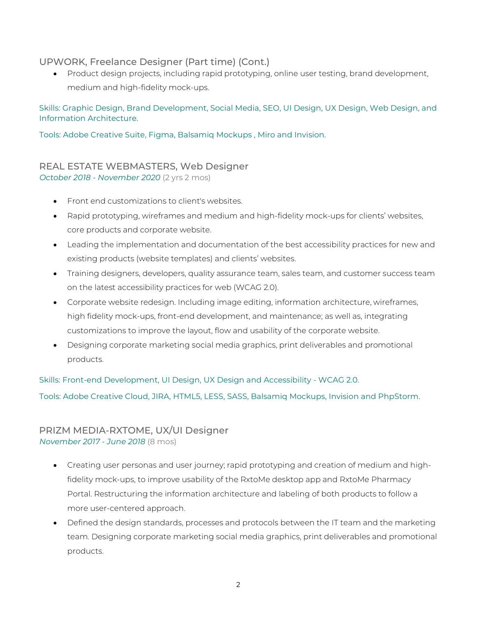### UPWORK, Freelance Designer (Part time) (Cont.)

• Product design projects, including rapid prototyping, online user testing, brand development, medium and high-fidelity mock-ups.

Skills: Graphic Design, Brand Development, Social Media, SEO, UI Design, UX Design, Web Design, and Information Architecture.

Tools: Adobe Creative Suite, Figma, Balsamiq Mockups , Miro and Invision.

### REAL ESTATE WEBMASTERS, Web Designer *October 2018 - November 2020* (2 yrs 2 mos)

- Front end customizations to client's websites.
- Rapid prototyping, wireframes and medium and high-fidelity mock-ups for clients' websites, core products and corporate website.
- Leading the implementation and documentation of the best accessibility practices for new and existing products (website templates) and clients' websites.
- Training designers, developers, quality assurance team, sales team, and customer success team on the latest accessibility practices for web (WCAG 2.0).
- Corporate website redesign. Including image editing, information architecture, wireframes, high fidelity mock-ups, front-end development, and maintenance; as well as, integrating customizations to improve the layout, flow and usability of the corporate website.
- Designing corporate marketing social media graphics, print deliverables and promotional products.

Skills: Front-end Development, UI Design, UX Design and Accessibility - WCAG 2.0.

Tools: Adobe Creative Cloud, JIRA, HTML5, LESS, SASS, Balsamiq Mockups, Invision and PhpStorm.

#### PRIZM MEDIA-RXTOME, UX/UI Designer *November 2017 - June 2018* (8 mos)

- Creating user personas and user journey; rapid prototyping and creation of medium and highfidelity mock-ups, to improve usability of the RxtoMe desktop app and RxtoMe Pharmacy Portal. Restructuring the information architecture and labeling of both products to follow a more user-centered approach.
- Defined the design standards, processes and protocols between the IT team and the marketing team. Designing corporate marketing social media graphics, print deliverables and promotional products.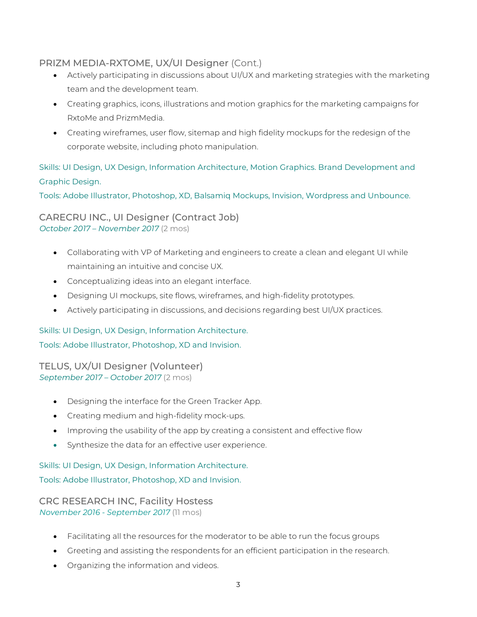### PRIZM MEDIA-RXTOME, UX/UI Designer (Cont.)

- Actively participating in discussions about UI/UX and marketing strategies with the marketing team and the development team.
- Creating graphics, icons, illustrations and motion graphics for the marketing campaigns for RxtoMe and PrizmMedia.
- Creating wireframes, user flow, sitemap and high fidelity mockups for the redesign of the corporate website, including photo manipulation.

Skills: UI Design, UX Design, Information Architecture, Motion Graphics. Brand Development and Graphic Design.

Tools: Adobe Illustrator, Photoshop, XD, Balsamiq Mockups, Invision, Wordpress and Unbounce.

CARECRU INC., UI Designer (Contract Job) *October 2017 – November 2017* (2 mos)

- Collaborating with VP of Marketing and engineers to create a clean and elegant UI while maintaining an intuitive and concise UX.
- Conceptualizing ideas into an elegant interface.
- Designing UI mockups, site flows, wireframes, and high-fidelity prototypes.
- Actively participating in discussions, and decisions regarding best UI/UX practices.

### Skills: UI Design, UX Design, Information Architecture.

Tools: Adobe Illustrator, Photoshop, XD and Invision.

TELUS, UX/UI Designer (Volunteer) *September 2017 – October 2017* (2 mos)

- Designing the interface for the Green Tracker App.
- Creating medium and high-fidelity mock-ups.
- Improving the usability of the app by creating a consistent and effective flow
- Synthesize the data for an effective user experience.

Skills: UI Design, UX Design, Information Architecture. Tools: Adobe Illustrator, Photoshop, XD and Invision.

CRC RESEARCH INC, Facility Hostess *November 2016 - September 2017* (11 mos)

- Facilitating all the resources for the moderator to be able to run the focus groups
- Greeting and assisting the respondents for an efficient participation in the research.
- Organizing the information and videos.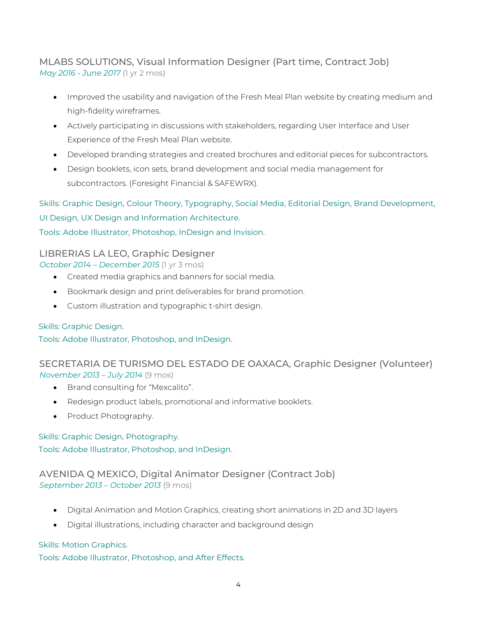### MLABS SOLUTIONS, Visual Information Designer (Part time, Contract Job) *May 2016 - June 2017* (1 yr 2 mos)

- Improved the usability and navigation of the Fresh Meal Plan website by creating medium and high-fidelity wireframes.
- Actively participating in discussions with stakeholders, regarding User Interface and User Experience of the Fresh Meal Plan website.
- Developed branding strategies and created brochures and editorial pieces for subcontractors.
- Design booklets, icon sets, brand development and social media management for subcontractors. (Foresight Financial & SAFEWRX).

Skills: Graphic Design, Colour Theory, Typography, Social Media, Editorial Design, Brand Development,

UI Design, UX Design and Information Architecture.

Tools: Adobe Illustrator, Photoshop, InDesign and Invision.

### LIBRERIAS LA LEO, Graphic Designer

*October 2014 – December 2015* (1 yr 3 mos)

- Created media graphics and banners for social media.
- Bookmark design and print deliverables for brand promotion.
- Custom illustration and typographic t-shirt design.

### Skills: Graphic Design.

Tools: Adobe Illustrator, Photoshop, and InDesign.

### SECRETARIA DE TURISMO DEL ESTADO DE OAXACA, Graphic Designer (Volunteer) *November 2013 – July 2014* (9 mos)

- Brand consulting for "Mexcalito".
- Redesign product labels, promotional and informative booklets.
- Product Photography.

### Skills: Graphic Design, Photography.

Tools: Adobe Illustrator, Photoshop, and InDesign.

### AVENIDA Q MEXICO, Digital Animator Designer (Contract Job) *September 2013 – October 2013* (9 mos)

- Digital Animation and Motion Graphics, creating short animations in 2D and 3D layers
- Digital illustrations, including character and background design

### Skills: Motion Graphics.

Tools: Adobe Illustrator, Photoshop, and After Effects.